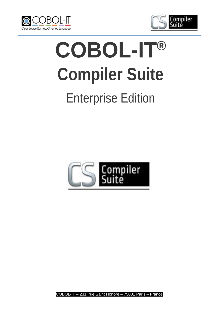



# **COBOL-IT® Compiler Suite** Enterprise Edition



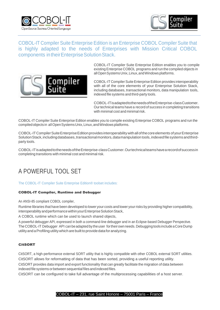



COBOL-IT Compiler Suite Enterprise Edition is an Enterprise COBOL Compiler Suite that is highly adapted to the needs of Enterprises with Mission Critical COBOL components in their Enterprise Solution Stack.



COBOL-IT Compiler Suite Enterprise Edition enables you to compile existing Enterprise COBOL programs and run the compiled objects in allOpenSystemsUnix,Linux,andWindowsplatforms.

COBOL-IT Compiler Suite Enterprise Edition provides interoperability with all of the core elements of your Enterprise Solution Stack, including databases, transactional monitors, data manipulation tools, indexed file systems and third-party tools.

COBOL-ITisadaptedtotheneedsoftheEnterprise-classCustomer. Ourtechnical teams have a record of success in completing transitions with minimal cost and minimal risk.

COBOL-IT Compiler Suite Enterprise Edition enables you to compile existing Enterprise COBOL programs and run the compiledobjectsin allOpenSystemsUnix,Linux,andWindowsplatforms.

COBOL-IT Compiler Suite Enterprise Edition provides interoperability with all of the core elements of your Enterprise Solution Stack, including databases, transactional monitors, datamanipulation tools, indexed file systems and thirdparty tools.

COBOL-ITisadaptedtotheneedsoftheEnterprise-classCustomer.Ourtechnicalteamshavearecordofsuccessin completing transitions with minimal cost and minimal risk.

## A POWERFUL TOOL SET

The COBOL-IT Compiler Suite Enterprise Edition® toolset includes:

#### COBOL-IT Compiler, Runtime and Debugger

An ANSI-85 compliant COBOL compiler,

Runtime libraries that have been developed to lower your costs and lower yourrisks by providing higher compatibility, interoperability and performance within your Enterprise Solution Stack,

A COBOL runtime which can be used to launch shared objects,

A powerful debugger API, expressed in both a command-line debugger and in an Eclipse-based Debugger Perspective. TheCOBOL-IT Debugger API canbeadaptedby theuser fortheirownneeds.Debugging tools includeaCoreDump utility and a Profiling utility which are built to provide data for analyzing.

#### **CitSORT**

CitSORT, a high-performance external SORT utility that is highly compatible with other COBOL external SORT utilities. CitSORT allows for reformatting of data that has been sorted, providing a useful reporting utility.

CitSORT provides data import and export functionality that can greatly facilitate the migration of data between indexed file systems orbetween sequential files andindexed files.

CitSORT can be configured to take full advantage of the multiprocessing capabilities of a host server.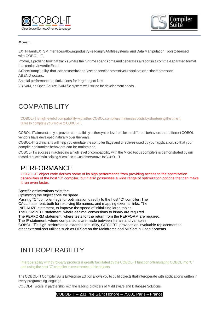



#### More…

EXTFHandEXTSMinterfacesallowingindustry-leadingISAMfilesystems and Data ManipulationToolstobeused with COBOL-IT.

Profiler, a profiling tool that tracks where the runtime spends time and generates a report in a comma-separated format that canbeviewedinExcel.

ACoreDump utility that canbeusedtoanalyzetheprecisestateofyourapplicationat themoment an ABEND occurs.

Special performance optimizations for large object files.

VBISAM, an Open Source ISAM file system well-suited for development needs.

## **COMPATIBILITY**

COBOL-IT'shighlevelofcompatibility withotherCOBOLcompilers minimizes costs byshortening the timeit takes to complete your move to COBOL-IT.

COBOL-ITaims notonly to provide compatibility atthe syntax level butforthe different behaviors that different COBOL vendors have developed naturally over the years.

COBOL-IT technicians will help you emulate the compiler flags and directives used by your application, so that your compile andruntimebehaviors can be maintained.

COBOL-IT's success in achieving a high level of compatibility with the Micro Focus compilers is demonstrated by our record of success in helping Micro Focus Customers move to COBOL-IT.

### PERFORMANCE

COBOL-IT object code derives some of its high performance from providing access to the optimization capabilities of the host "C" compiler, but it also possesses a wide range of optimization options that can make it run even faster.

Specific optimizations exist for:

Optimizing the object code for speed.

Passing "C" compiler flags for optimization directly to the host "C" compiler. The

CALL statement, both for resolving file names, and mapping external links. The

INITIALIZE statement, to improve the speed of initializing large tables.

The COMPUTE statement, where decimal conversions to binary are required.

The PERFORM statement, where tests for the return from the PERFORM are required.

The IF statement, where comparisons are made between literals and variables.

COBOL-IT's high-performance external sort utility, CITSORT, provides an invaluable replacement to

other external sort utilities such as DFSort on the Mainframe and MFSort in Open Systems.

## INTEROPERABILITY

Interoperability with third-party products is greatly facilitated by the COBOL-IT function of translating COBOL into "C" and using the host "C" compiler to create executable objects.

The COBOL-IT Compiler Suite Enterprise Edition allows you to build objects that interoperate with applications written in every programming language.

COBOL-IT works in partnership with the leading providers of Middleware and Database Solutions.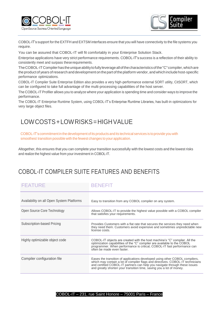



COBOL-IT's support for the EXTFH and EXTSM interfaces ensure that you will have connectivity to the file systems you require.

You can be assured that COBOL-IT will fit comfortably in your Enterprise Solution Stack.

Enterprise applications have very strict performance requirements. COBOL-IT's success is a reflection of their ability to consistently meet and surpass these requirements.

The COBOL-IT Compiler has the unique ability to fully leverage all of the characteristics of the "C" compiler, which are the product of years of research and development on the part of the platform vendor, and which include host-specific performance optimizations.

COBOL-IT Compiler Suite Enterprise Edition also provides a very high-performance external SORT utility, CitSORT, which can be configured to take full advantage of the multi-processing capabilities of the host server.

The COBOL-IT Profiler allows you to analyze where your application is spending time and consider ways to improve the performance.

The COBOL-IT Enterprise Runtime System, using COBOL-IT's Enterprise Runtime Libraries, has built-in optimizations for very large object files.

## LOWCOSTS+LOWRISKS=HIGHVALUE

COBOL-IT'scommitmentin the development ofits productsand its technical services is toprovide you with smoothest transition possible with the fewest changes to your application.

Altogether, this ensures that you can complete your transition successfully with the lowest costs and the lowest risks and realize the highest value from your investment in COBOL-IT.

## COBOL-IT COMPILER SUITE FEATURES AND BENEFITS

| <b>FEATURE</b>                            | <b>BENEFIT</b>                                                                                                                                                                                                                                                                                                      |
|-------------------------------------------|---------------------------------------------------------------------------------------------------------------------------------------------------------------------------------------------------------------------------------------------------------------------------------------------------------------------|
| Availability on all Open System Platforms | Easy to transition from any COBOL compiler on any system.                                                                                                                                                                                                                                                           |
| Open Source Core Technology               | Allows COBOL-IT to provide the highest value possible with a COBOL compiler<br>that satisfies your requirements.                                                                                                                                                                                                    |
| Subscription-based Pricing                | Provides Customers with a flat rate that secures the services they need when<br>they need them. Customers avoid expensive and sometimes unpredictable new<br>license costs.                                                                                                                                         |
| Highly optimizable object code            | COBOL-IT objects are created with the host machine's "C" compiler. All the<br>optimization capabilities of the "C" compiler are available to the COBOL<br>programmer. When performance is critical, COBOL-IT fast performance can<br>often be made even faster.                                                     |
| Compiler configuration file               | Eases the transition of applications developed using other COBOL compilers,<br>which may contain a lot of compiler flags and directives. COBOL-IT technicians<br>and certified COBOL-IT partners can help you navigate through these issues<br>and greatly shorten your transition time, saving you a lot of money. |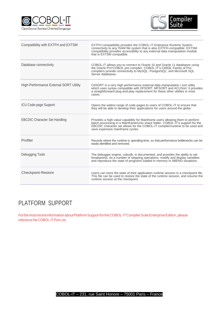



| Compatibility with EXTFH and EXTSM            | EXTFH compatibility provides the COBOL-IT Enterprise Runtime System<br>connectivity to any ISAM file system that is also EXTFH-compatible. EXTSM<br>compatibility provides accessibility to any external data manipulation module<br>that is EXTSM compatible.                     |
|-----------------------------------------------|------------------------------------------------------------------------------------------------------------------------------------------------------------------------------------------------------------------------------------------------------------------------------------|
| Database connectivity                         | COBOL-IT allows you to connect to Oracle 10 and Oracle 11 databases using<br>the Oracle Pro*COBOL pre-compiler. COBOL-IT's CitSQL Family of Pre-<br>compilers provide connectivity to MySQL, PostgreSQL, and Microsoft SQL<br>Server databases.                                    |
| <b>High-Performance External SORT Utility</b> | CitSORT is a very high performance external data manipulation / sort utility<br>which uses syntax compatible with DFSORT, MFSORT and ACUSort. It provides<br>a straightforward plug-and-play replacement for these other utilities in most<br>cases.                               |
| <b>ICU Code-page Support</b>                  | Opens the widest range of code-pages to users of COBOL-IT to ensure that<br>they will be able to develop their applications for users around the globe.                                                                                                                            |
| <b>EBCDIC Character Set Handling</b>          | Provides a high-value capability for Mainframe users allowing them to perform<br>batch processing in a Mainframe/Unix share folder. COBOL-IT's support for the<br>EBCDIC character set allows for the COBOL-IT compiler/runtime to be used and<br>save expensive mainframe cycles. |
| Profiler                                      | Records where the runtime is spending time, so that performance bottlenecks can be<br>easily identified and removed.                                                                                                                                                               |
| Debugging Tools                               | The debugger engine, cobcdb, is documented, and provides the ability to set<br>breakpoints, do a number of stepping operations, modify and display variables<br>and reproduce the state of programs loaded in memory in ABEND situations.                                          |
| <b>Checkpoint-Restore</b>                     | Users can store the state of their application runtime session in a checkpoint file.<br>This file can be used to restore the state of the runtime session, and resume the<br>runtime session at the checkpoint.                                                                    |

## PLATFORM SUPPORT

Forthe most recent information about Platform Support for the COBOL-IT Compiler Suite Enterprise Edition, please reference theCOBOL-ITPortList.